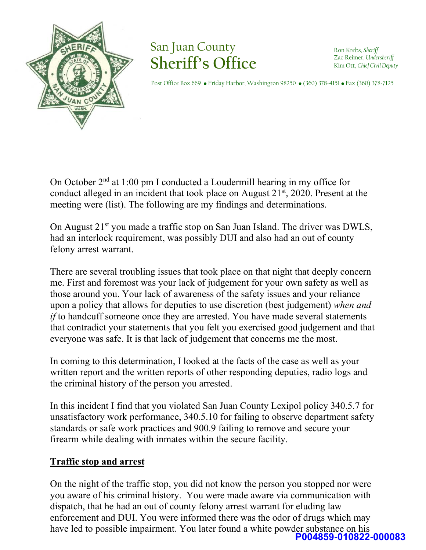

# San Juan County **Sheriff's Office**

Ron Krebs, *Sheriff* Zac Reimer, *Undersheriff*  Kim Ott, *Chief Civil Deputy*

Post Office Box 669 • Friday Harbor, Washington 98250 • (360) 378-4151 • Fax (360) 378-7125

On October 2nd at 1:00 pm I conducted a Loudermill hearing in my office for conduct alleged in an incident that took place on August  $21<sup>st</sup>$ , 2020. Present at the meeting were (list). The following are my findings and determinations.

On August 21<sup>st</sup> you made a traffic stop on San Juan Island. The driver was DWLS, had an interlock requirement, was possibly DUI and also had an out of county felony arrest warrant.

There are several troubling issues that took place on that night that deeply concern me. First and foremost was your lack of judgement for your own safety as well as those around you. Your lack of awareness of the safety issues and your reliance upon a policy that allows for deputies to use discretion (best judgement) *when and if* to handcuff someone once they are arrested. You have made several statements that contradict your statements that you felt you exercised good judgement and that everyone was safe. It is that lack of judgement that concerns me the most.

In coming to this determination, I looked at the facts of the case as well as your written report and the written reports of other responding deputies, radio logs and the criminal history of the person you arrested.

In this incident I find that you violated San Juan County Lexipol policy 340.5.7 for unsatisfactory work performance, 340.5.10 for failing to observe department safety standards or safe work practices and 900.9 failing to remove and secure your firearm while dealing with inmates within the secure facility.

### **Traffic stop and arrest**

On the night of the traffic stop, you did not know the person you stopped nor were you aware of his criminal history. You were made aware via communication with dispatch, that he had an out of county felony arrest warrant for eluding law enforcement and DUI. You were informed there was the odor of drugs which may have led to possible impairment. You later found a white powder substance on his **P004859-010822-000083**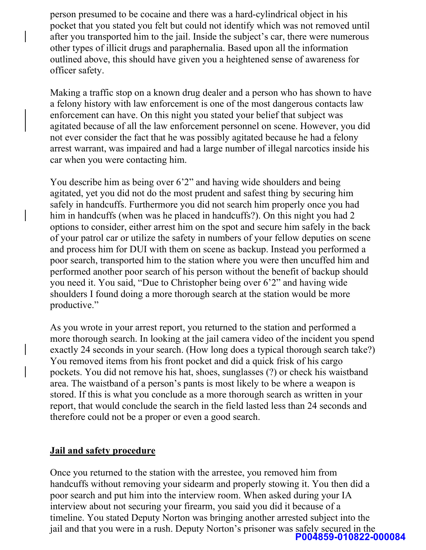person presumed to be cocaine and there was a hard-cylindrical object in his pocket that you stated you felt but could not identify which was not removed until after you transported him to the jail. Inside the subject's car, there were numerous other types of illicit drugs and paraphernalia. Based upon all the information outlined above, this should have given you a heightened sense of awareness for officer safety.

Making a traffic stop on a known drug dealer and a person who has shown to have a felony history with law enforcement is one of the most dangerous contacts law enforcement can have. On this night you stated your belief that subject was agitated because of all the law enforcement personnel on scene. However, you did not ever consider the fact that he was possibly agitated because he had a felony arrest warrant, was impaired and had a large number of illegal narcotics inside his car when you were contacting him.

You describe him as being over 6'2" and having wide shoulders and being agitated, yet you did not do the most prudent and safest thing by securing him safely in handcuffs. Furthermore you did not search him properly once you had him in handcuffs (when was he placed in handcuffs?). On this night you had 2 options to consider, either arrest him on the spot and secure him safely in the back of your patrol car or utilize the safety in numbers of your fellow deputies on scene and process him for DUI with them on scene as backup. Instead you performed a poor search, transported him to the station where you were then uncuffed him and performed another poor search of his person without the benefit of backup should you need it. You said, "Due to Christopher being over 6'2" and having wide shoulders I found doing a more thorough search at the station would be more productive."

As you wrote in your arrest report, you returned to the station and performed a more thorough search. In looking at the jail camera video of the incident you spend exactly 24 seconds in your search. (How long does a typical thorough search take?) You removed items from his front pocket and did a quick frisk of his cargo pockets. You did not remove his hat, shoes, sunglasses (?) or check his waistband area. The waistband of a person's pants is most likely to be where a weapon is stored. If this is what you conclude as a more thorough search as written in your report, that would conclude the search in the field lasted less than 24 seconds and therefore could not be a proper or even a good search.

#### **Jail and safety procedure**

Once you returned to the station with the arrestee, you removed him from handcuffs without removing your sidearm and properly stowing it. You then did a poor search and put him into the interview room. When asked during your IA interview about not securing your firearm, you said you did it because of a timeline. You stated Deputy Norton was bringing another arrested subject into the jail and that you were in a rush. Deputy Norton's prisoner was safely secured in the **P004859-010822-000084**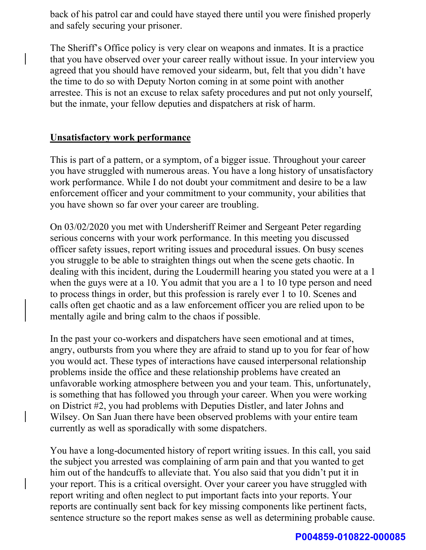back of his patrol car and could have stayed there until you were finished properly and safely securing your prisoner.

The Sheriff's Office policy is very clear on weapons and inmates. It is a practice that you have observed over your career really without issue. In your interview you agreed that you should have removed your sidearm, but, felt that you didn't have the time to do so with Deputy Norton coming in at some point with another arrestee. This is not an excuse to relax safety procedures and put not only yourself, but the inmate, your fellow deputies and dispatchers at risk of harm.

#### **Unsatisfactory work performance**

This is part of a pattern, or a symptom, of a bigger issue. Throughout your career you have struggled with numerous areas. You have a long history of unsatisfactory work performance. While I do not doubt your commitment and desire to be a law enforcement officer and your commitment to your community, your abilities that you have shown so far over your career are troubling.

On 03/02/2020 you met with Undersheriff Reimer and Sergeant Peter regarding serious concerns with your work performance. In this meeting you discussed officer safety issues, report writing issues and procedural issues. On busy scenes you struggle to be able to straighten things out when the scene gets chaotic. In dealing with this incident, during the Loudermill hearing you stated you were at a 1 when the guys were at a 10. You admit that you are a 1 to 10 type person and need to process things in order, but this profession is rarely ever 1 to 10. Scenes and calls often get chaotic and as a law enforcement officer you are relied upon to be mentally agile and bring calm to the chaos if possible.

In the past your co-workers and dispatchers have seen emotional and at times, angry, outbursts from you where they are afraid to stand up to you for fear of how you would act. These types of interactions have caused interpersonal relationship problems inside the office and these relationship problems have created an unfavorable working atmosphere between you and your team. This, unfortunately, is something that has followed you through your career. When you were working on District #2, you had problems with Deputies Distler, and later Johns and Wilsey. On San Juan there have been observed problems with your entire team currently as well as sporadically with some dispatchers.

You have a long-documented history of report writing issues. In this call, you said the subject you arrested was complaining of arm pain and that you wanted to get him out of the handcuffs to alleviate that. You also said that you didn't put it in your report. This is a critical oversight. Over your career you have struggled with report writing and often neglect to put important facts into your reports. Your reports are continually sent back for key missing components like pertinent facts, sentence structure so the report makes sense as well as determining probable cause.

#### **P004859-010822-000085**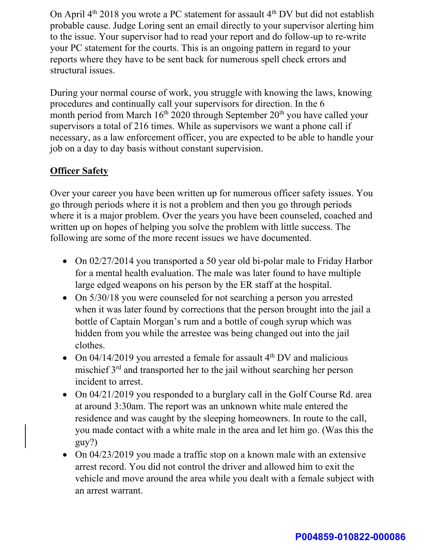On April  $4<sup>th</sup>$  2018 you wrote a PC statement for assault  $4<sup>th</sup>$  DV but did not establish probable cause. Judge Loring sent an email directly to your supervisor alerting him to the issue. Your supervisor had to read your report and do follow-up to re-write your PC statement for the courts. This is an ongoing pattern in regard to your reports where they have to be sent back for numerous spell check errors and structural issues.

During your normal course of work, you struggle with knowing the laws, knowing procedures and continually call your supervisors for direction. In the 6 month period from March  $16<sup>th</sup> 2020$  through September  $20<sup>th</sup>$  you have called your supervisors a total of 216 times. While as supervisors we want a phone call if necessary, as a law enforcement officer, you are expected to be able to handle your job on a day to day basis without constant supervision.

## **Officer Safety**

Over your career you have been written up for numerous officer safety issues. You go through periods where it is not a problem and then you go through periods where it is a major problem. Over the years you have been counseled, coached and written up on hopes of helping you solve the problem with little success. The following are some of the more recent issues we have documented.

- On 02/27/2014 you transported a 50 year old bi-polar male to Friday Harbor for a mental health evaluation. The male was later found to have multiple large edged weapons on his person by the ER staff at the hospital.
- On  $5/30/18$  you were counseled for not searching a person you arrested when it was later found by corrections that the person brought into the jail a bottle of Captain Morgan's rum and a bottle of cough syrup which was hidden from you while the arrestee was being changed out into the jail clothes.
- On  $04/14/2019$  you arrested a female for assault  $4<sup>th</sup>$  DV and malicious mischief 3rd and transported her to the jail without searching her person incident to arrest.
- On 04/21/2019 you responded to a burglary call in the Golf Course Rd. area at around 3:30am. The report was an unknown white male entered the residence and was caught by the sleeping homeowners. In route to the call, you made contact with a white male in the area and let him go. (Was this the guy?)
- On 04/23/2019 you made a traffic stop on a known male with an extensive arrest record. You did not control the driver and allowed him to exit the vehicle and move around the area while you dealt with a female subject with an arrest warrant.